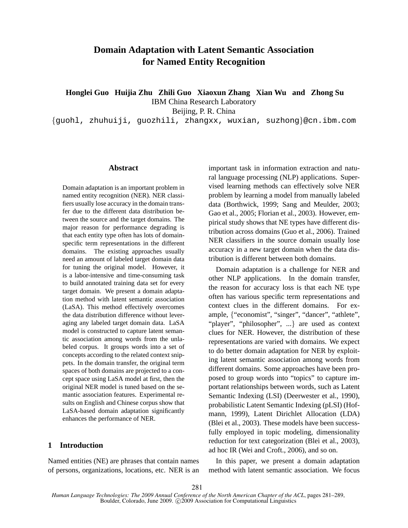# **Domain Adaptation with Latent Semantic Association for Named Entity Recognition**

**Honglei Guo Huijia Zhu Zhili Guo Xiaoxun Zhang Xian Wu and Zhong Su**

IBM China Research Laboratory

Beijing, P. R. China

{guohl, zhuhuiji, guozhili, zhangxx, wuxian, suzhong}@cn.ibm.com

#### **Abstract**

Domain adaptation is an important problem in named entity recognition (NER). NER classifiers usually lose accuracy in the domain transfer due to the different data distribution between the source and the target domains. The major reason for performance degrading is that each entity type often has lots of domainspecific term representations in the different domains. The existing approaches usually need an amount of labeled target domain data for tuning the original model. However, it is a labor-intensive and time-consuming task to build annotated training data set for every target domain. We present a domain adaptation method with latent semantic association (LaSA). This method effectively overcomes the data distribution difference without leveraging any labeled target domain data. LaSA model is constructed to capture latent semantic association among words from the unlabeled corpus. It groups words into a set of concepts according to the related context snippets. In the domain transfer, the original term spaces of both domains are projected to a concept space using LaSA model at first, then the original NER model is tuned based on the semantic association features. Experimental results on English and Chinese corpus show that LaSA-based domain adaptation significantly enhances the performance of NER.

# **1 Introduction**

Named entities (NE) are phrases that contain names of persons, organizations, locations, etc. NER is an important task in information extraction and natural language processing (NLP) applications. Supervised learning methods can effectively solve NER problem by learning a model from manually labeled data (Borthwick, 1999; Sang and Meulder, 2003; Gao et al., 2005; Florian et al., 2003). However, empirical study shows that NE types have different distribution across domains (Guo et al., 2006). Trained NER classifiers in the source domain usually lose accuracy in a new target domain when the data distribution is different between both domains.

Domain adaptation is a challenge for NER and other NLP applications. In the domain transfer, the reason for accuracy loss is that each NE type often has various specific term representations and context clues in the different domains. For example, {"economist", "singer", "dancer", "athlete", "player", "philosopher", ...} are used as context clues for NER. However, the distribution of these representations are varied with domains. We expect to do better domain adaptation for NER by exploiting latent semantic association among words from different domains. Some approaches have been proposed to group words into "topics" to capture important relationships between words, such as Latent Semantic Indexing (LSI) (Deerwester et al., 1990), probabilistic Latent Semantic Indexing (pLSI) (Hofmann, 1999), Latent Dirichlet Allocation (LDA) (Blei et al., 2003). These models have been successfully employed in topic modeling, dimensionality reduction for text categorization (Blei et al., 2003), ad hoc IR (Wei and Croft., 2006), and so on.

In this paper, we present a domain adaptation method with latent semantic association. We focus

*Human Language Technologies: The 2009 Annual Conference of the North American Chapter of the ACL*, pages 281–289, Boulder, Colorado, June 2009. C<sub>2009</sub> Association for Computational Linguistics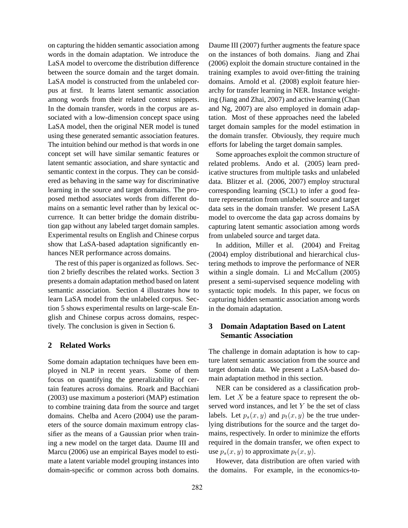on capturing the hidden semantic association among words in the domain adaptation. We introduce the LaSA model to overcome the distribution difference between the source domain and the target domain. LaSA model is constructed from the unlabeled corpus at first. It learns latent semantic association among words from their related context snippets. In the domain transfer, words in the corpus are associated with a low-dimension concept space using LaSA model, then the original NER model is tuned using these generated semantic association features. The intuition behind our method is that words in one concept set will have similar semantic features or latent semantic association, and share syntactic and semantic context in the corpus. They can be considered as behaving in the same way for discriminative learning in the source and target domains. The proposed method associates words from different domains on a semantic level rather than by lexical occurrence. It can better bridge the domain distribution gap without any labeled target domain samples. Experimental results on English and Chinese corpus show that LaSA-based adaptation significantly enhances NER performance across domains.

The rest of this paper is organized as follows. Section 2 briefly describes the related works. Section 3 presents a domain adaptation method based on latent semantic association. Section 4 illustrates how to learn LaSA model from the unlabeled corpus. Section 5 shows experimental results on large-scale English and Chinese corpus across domains, respectively. The conclusion is given in Section 6.

## **2 Related Works**

Some domain adaptation techniques have been employed in NLP in recent years. Some of them focus on quantifying the generalizability of certain features across domains. Roark and Bacchiani (2003) use maximum a posteriori (MAP) estimation to combine training data from the source and target domains. Chelba and Acero (2004) use the parameters of the source domain maximum entropy classifier as the means of a Gaussian prior when training a new model on the target data. Daume III and Marcu (2006) use an empirical Bayes model to estimate a latent variable model grouping instances into domain-specific or common across both domains. Daume III (2007) further augments the feature space on the instances of both domains. Jiang and Zhai (2006) exploit the domain structure contained in the training examples to avoid over-fitting the training domains. Arnold et al. (2008) exploit feature hierarchy for transfer learning in NER. Instance weighting (Jiang and Zhai, 2007) and active learning (Chan and Ng, 2007) are also employed in domain adaptation. Most of these approaches need the labeled target domain samples for the model estimation in the domain transfer. Obviously, they require much efforts for labeling the target domain samples.

Some approaches exploit the common structure of related problems. Ando et al. (2005) learn predicative structures from multiple tasks and unlabeled data. Blitzer et al. (2006, 2007) employ structural corresponding learning (SCL) to infer a good feature representation from unlabeled source and target data sets in the domain transfer. We present LaSA model to overcome the data gap across domains by capturing latent semantic association among words from unlabeled source and target data.

In addition, Miller et al. (2004) and Freitag (2004) employ distributional and hierarchical clustering methods to improve the performance of NER within a single domain. Li and McCallum (2005) present a semi-supervised sequence modeling with syntactic topic models. In this paper, we focus on capturing hidden semantic association among words in the domain adaptation.

# **3 Domain Adaptation Based on Latent Semantic Association**

The challenge in domain adaptation is how to capture latent semantic association from the source and target domain data. We present a LaSA-based domain adaptation method in this section.

NER can be considered as a classification problem. Let  $X$  be a feature space to represent the observed word instances, and let Y be the set of class labels. Let  $p_s(x, y)$  and  $p_t(x, y)$  be the true underlying distributions for the source and the target domains, respectively. In order to minimize the efforts required in the domain transfer, we often expect to use  $p_s(x, y)$  to approximate  $p_t(x, y)$ .

However, data distribution are often varied with the domains. For example, in the economics-to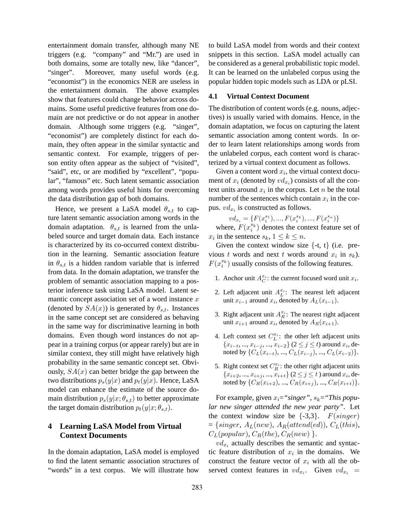entertainment domain transfer, although many NE triggers (e.g. "company" and "Mr.") are used in both domains, some are totally new, like "dancer", "singer". Moreover, many useful words (e.g. "economist") in the economics NER are useless in the entertainment domain. The above examples show that features could change behavior across domains. Some useful predictive features from one domain are not predictive or do not appear in another domain. Although some triggers (e.g. "singer", "economist") are completely distinct for each domain, they often appear in the similar syntactic and semantic context. For example, triggers of person entity often appear as the subject of "visited", "said", etc, or are modified by "excellent", "popular", "famous" etc. Such latent semantic association among words provides useful hints for overcoming the data distribution gap of both domains.

Hence, we present a LaSA model  $\theta_{s,t}$  to capture latent semantic association among words in the domain adaptation.  $\theta_{s,t}$  is learned from the unlabeled source and target domain data. Each instance is characterized by its co-occurred context distribution in the learning. Semantic association feature in  $\theta_{s,t}$  is a hidden random variable that is inferred from data. In the domain adaptation, we transfer the problem of semantic association mapping to a posterior inference task using LaSA model. Latent semantic concept association set of a word instance  $x$ (denoted by  $SA(x)$ ) is generated by  $\theta_{s,t}$ . Instances in the same concept set are considered as behaving in the same way for discriminative learning in both domains. Even though word instances do not appear in a training corpus (or appear rarely) but are in similar context, they still might have relatively high probability in the same semantic concept set. Obviously,  $SA(x)$  can better bridge the gap between the two distributions  $p_s(y|x)$  and  $p_t(y|x)$ . Hence, LaSA model can enhance the estimate of the source domain distribution  $p_s(y|x; \theta_{s,t})$  to better approximate the target domain distribution  $p_t(y|x; \theta_{s,t})$ .

# **4 Learning LaSA Model from Virtual Context Documents**

In the domain adaptation, LaSA model is employed to find the latent semantic association structures of "words" in a text corpus. We will illustrate how to build LaSA model from words and their context snippets in this section. LaSA model actually can be considered as a general probabilistic topic model. It can be learned on the unlabeled corpus using the popular hidden topic models such as LDA or pLSI.

#### **4.1 Virtual Context Document**

The distribution of content words (e.g. nouns, adjectives) is usually varied with domains. Hence, in the domain adaptation, we focus on capturing the latent semantic association among content words. In order to learn latent relationships among words from the unlabeled corpus, each content word is characterized by a virtual context document as follows.

Given a content word  $x_i$ , the virtual context document of  $x_i$  (denoted by  $vd_{x_i}$ ) consists of all the context units around  $x_i$  in the corpus. Let n be the total number of the sentences which contain  $x_i$  in the corpus.  $vd_{x_i}$  is constructed as follows.

 $vd_{x_i} = \{F(x_i^{s_1}), ..., F(x_i^{s_k}), ..., F(x_i^{s_n})\}$ 

where,  $F(x_i^{s_k})$  denotes the context feature set of  $x_i$  in the sentence  $s_k$ ,  $1 \leq k \leq n$ .

Given the context window size  $\{-t, t\}$  (i.e. previous t words and next t words around  $x_i$  in  $s_k$ ).  $F(x_i^{s_k})$  usually consists of the following features.

- 1. Anchor unit  $A_C^{x_i}$ : the current focused word unit  $x_i$ .
- 2. Left adjacent unit  $A_L^{x_i}$ : The nearest left adjacent unit  $x_{i-1}$  around  $x_i$ , denoted by  $A_L(x_{i-1})$ .
- 3. Right adjacent unit  $A_R^{x_i}$ : The nearest right adjacent unit  $x_{i+1}$  around  $x_i$ , denoted by  $A_R(x_{i+1})$ .
- 4. Left context set  $C_L^{x_i}$ : the other left adjacent units  ${x_{i-t}, ..., x_{i-j}, ..., x_{i-2}}$  (2 ≤ j ≤ t) around  $x_i$ , denoted by  $\{C_L(x_{i-t}), ..., C_L(x_{i-j}), ..., C_L(x_{i-2})\}.$
- 5. Right context set  $C_R^{x_i}$ : the other right adjacent units  ${x_{i+2}, ..., x_{i+j}, ..., x_{i+t}}$  ( $2 \le j \le t$ ) around  $x_i$ , denoted by  $\{C_R(x_{i+2}), ..., C_R(x_{i+j}), ..., C_R(x_{i+t})\}.$

For example, given  $x_i =$ "singer",  $s_k =$ "This popu*lar new singer attended the new year party"*. Let the context window size be  $\{-3,3\}$ .  $F(singer)$  $=\{singer, A_L(new), A_R(attend(ed)), C_L(this),\}$  $C_L(popular), C_R(the), C_R(new)$ .

 $vd_{x_i}$  actually describes the semantic and syntactic feature distribution of  $x_i$  in the domains. We construct the feature vector of  $x_i$  with all the observed context features in  $vd_{x_i}$ . Given  $vd_{x_i}$  =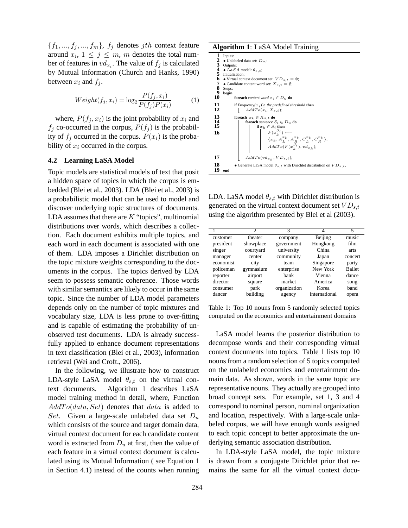${f_1, ..., f_j, ..., f_m}$ ,  $f_j$  denotes *jth* context feature around  $x_i$ ,  $1 \leq j \leq m$ , m denotes the total number of features in  $vd_{x_i}$ . The value of  $f_j$  is calculated by Mutual Information (Church and Hanks, 1990) between  $x_i$  and  $f_i$ .

$$
Weight(f_j, x_i) = \log_2 \frac{P(f_j, x_i)}{P(f_j)P(x_i)}
$$
(1)

where,  $P(f_i, x_i)$  is the joint probability of  $x_i$  and  $f_j$  co-occurred in the corpus,  $P(f_j)$  is the probability of  $f_i$  occurred in the corpus.  $P(x_i)$  is the probability of  $x_i$  occurred in the corpus.

#### **4.2 Learning LaSA Model**

Topic models are statistical models of text that posit a hidden space of topics in which the corpus is embedded (Blei et al., 2003). LDA (Blei et al., 2003) is a probabilistic model that can be used to model and discover underlying topic structures of documents. LDA assumes that there are  $K$  "topics", multinomial distributions over words, which describes a collection. Each document exhibits multiple topics, and each word in each document is associated with one of them. LDA imposes a Dirichlet distribution on the topic mixture weights corresponding to the documents in the corpus. The topics derived by LDA seem to possess semantic coherence. Those words with similar semantics are likely to occur in the same topic. Since the number of LDA model parameters depends only on the number of topic mixtures and vocabulary size, LDA is less prone to over-fitting and is capable of estimating the probability of unobserved test documents. LDA is already successfully applied to enhance document representations in text classification (Blei et al., 2003), information retrieval (Wei and Croft., 2006).

In the following, we illustrate how to construct LDA-style LaSA model  $\theta_{s,t}$  on the virtual context documents. Algorithm 1 describes LaSA model training method in detail, where, Function  $AddTo(data, Set)$  denotes that  $data$  is added to Set. Given a large-scale unlabeled data set  $D_u$ which consists of the source and target domain data, virtual context document for each candidate content word is extracted from  $D_u$  at first, then the value of each feature in a virtual context document is calculated using its Mutual Information ( see Equation 1 in Section 4.1) instead of the counts when running

**Algorithm 1**: LaSA Model Training

**1** Inputs:<br> **2** • Unlabeled data set:  $D_u$ ; **1** Inputs:<br> **3** Outputs:<br> **4**  $\bullet$  *LaS*<br> **5** Initializa  $\bullet$   $\hat{L}aSA$  model:  $\theta_{s,\,t};$ **5** Initialization:<br>**6** • Virtual con **6** • Virtual context document set:  $VD_{s,t} = \emptyset$ ;<br> **7** • Candidate content word set:  $X_{s,t} = \emptyset$ ; 8 Steps: **9 begin foreach** *content word*  $x_i \in D_u$  **do 11 if** *Frequency*( $x_i$ ) $\geq$  *the predefined threshold* **then**<br>**12 i**  $AddTo(x_i, X_{s}t)$ ;  $12$  AddTo( $x_i$ ,  $X_{s,t}$ ); **13 foreach**  $x_k \in X_{s,t}$  **do**<br>**14 foreach** *sentence*  $\xi$ <br>**15 if**  $x_k \in S_i$  $14$  **foreach** *sentence*  $S_i \in D_u$  **do 15 if**  $x_k \in S_i$  **then**<br>**16 if**  $F(x_i^{S_i})$ **16**  $F(x_k^{S_i}) \leftarrow$  ${x_k, A_L^{x_k}, A_R^{x_k}, C_L^{x_k}, C_R^{x_k}};$  $AddTo(F(x_k^{S_i}),vd_{x_k});$ **17**  $\qquad \qquad \mathbf{A} \, d d \mathit{To} (v d_{x_k}, V D_{s,t});$ **18** • Generate LaSA model  $\theta_{s,t}$  with Dirichlet distribution on  $VD_{s,t}$ . **19 end**

LDA. LaSA model  $\theta_{s,t}$  with Dirichlet distribution is generated on the virtual context document set  $VD_{s,t}$ using the algorithm presented by Blei et al (2003).

|           | $\mathfrak{D}$ | 3            |               | 5             |
|-----------|----------------|--------------|---------------|---------------|
| customer  | theater        | company      | Beijing       | music         |
| president | showplace      | government   | Hongkong      | film          |
| singer    | courtyard      | university   | China         | arts          |
| manager   | center         | community    | Japan         | concert       |
| economist | city           | team         | Singapore     | party         |
| policeman | gymnasium      | enterprise   | New York      | <b>Ballet</b> |
| reporter  | airport        | hank         | Vienna        | dance         |
| director  | square         | market       | America       | song          |
| consumer  | park           | organization | Korea         | hand          |
| dancer    | building       | agency       | international | opera         |

Table 1: Top 10 nouns from 5 randomly selected topics computed on the economics and entertainment domains

LaSA model learns the posterior distribution to decompose words and their corresponding virtual context documents into topics. Table 1 lists top 10 nouns from a random selection of 5 topics computed on the unlabeled economics and entertainment domain data. As shown, words in the same topic are representative nouns. They actually are grouped into broad concept sets. For example, set 1, 3 and 4 correspond to nominal person, nominal organization and location, respectively. With a large-scale unlabeled corpus, we will have enough words assigned to each topic concept to better approximate the underlying semantic association distribution.

In LDA-style LaSA model, the topic mixture is drawn from a conjugate Dirichlet prior that remains the same for all the virtual context docu-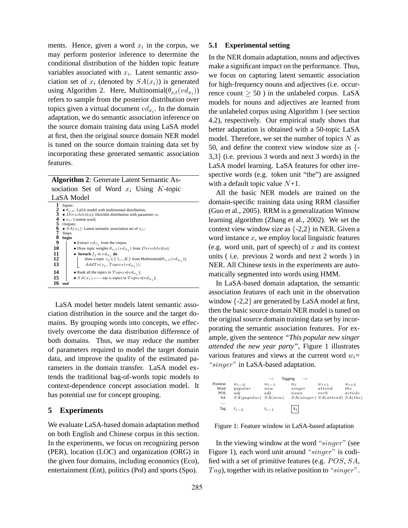ments. Hence, given a word  $x_i$  in the corpus, we may perform posterior inference to determine the conditional distribution of the hidden topic feature variables associated with  $x_i$ . Latent semantic association set of  $x_i$  (denoted by  $SA(x_i)$ ) is generated using Algorithm 2. Here, Multinomial $(\theta_{s,t}(vd_{x_i}))$ refers to sample from the posterior distribution over topics given a virtual document  $vd_{x_i}$ . In the domain adaptation, we do semantic association inference on the source domain training data using LaSA model at first, then the original source domain NER model is tuned on the source domain training data set by incorporating these generated semantic association features.

**Algorithm 2**: Generate Latent Semantic Association Set of Word  $x_i$  Using K-topic

LaSA Model

|                                | Inputs:                                                                         |
|--------------------------------|---------------------------------------------------------------------------------|
|                                | $\bullet$ $\theta_{s,t}$ : LaSA model with multinomial distribution;            |
| $\frac{2}{3}$<br>$\frac{4}{5}$ | • $Dirichlet(\alpha)$ : Dirichlet distribution with parameter $\alpha$ ;        |
|                                | $\bullet x_i$ : Content word;                                                   |
|                                | Outputs:                                                                        |
| $\ddot{\mathbf{6}}$            | • $SA(x_i)$ : Latent semantic association set of $x_i$ ;                        |
| $\frac{7}{8}$                  | Steps:                                                                          |
|                                | begin                                                                           |
| $\boldsymbol{9}$               | • Extract $vd_{x_i}$ from the corpus.                                           |
| 10                             | • Draw topic weights $\theta_{s,t}(vd_{x_i})$ from $Dirichlet(\alpha)$ ;        |
| 11                             | • foreach $f_i$ in $vd_{x_i}$ do                                                |
| 12                             | draw a topic $z_j \in \{1, , K\}$ from Multinomial( $\theta_{s,t}(vd_{x_j})$ ); |
| 13                             | $AddTo(z_j, Topics(vd_{x_j}))$ ;                                                |
| 14                             | • Rank all the topics in $Topics(vd_{x_i})$ ;                                   |
| 15                             | • $SA(x_i) \longleftarrow$ top <i>n</i> topics in $Topics(vd_{x_i})$ ;          |
| 16                             | end                                                                             |

LaSA model better models latent semantic association distribution in the source and the target domains. By grouping words into concepts, we effectively overcome the data distribution difference of both domains. Thus, we may reduce the number of parameters required to model the target domain data, and improve the quality of the estimated parameters in the domain transfer. LaSA model extends the traditional bag-of-words topic models to context-dependence concept association model. It has potential use for concept grouping.

# **5 Experiments**

We evaluate LaSA-based domain adaptation method on both English and Chinese corpus in this section. In the experiments, we focus on recognizing person (PER), location (LOC) and organization (ORG) in the given four domains, including economics (Eco), entertainment (Ent), politics (Pol) and sports (Spo).

#### **5.1 Experimental setting**

In the NER domain adaptation, nouns and adjectives make a significant impact on the performance. Thus, we focus on capturing latent semantic association for high-frequency nouns and adjectives (i.e. occurrence count  $> 50$ ) in the unlabeled corpus. LaSA models for nouns and adjectives are learned from the unlabeled corpus using Algorithm 1 (see section 4.2), respectively. Our empirical study shows that better adaptation is obtained with a 50-topic LaSA model. Therefore, we set the number of topics  $N$  as 50, and define the context view window size as {- 3,3} (i.e. previous 3 words and next 3 words) in the LaSA model learning. LaSA features for other irrespective words (e.g. token unit "the") are assigned with a default topic value  $N+1$ .

All the basic NER models are trained on the domain-specific training data using RRM classifier (Guo et al., 2005). RRM is a generalization Winnow learning algorithm (Zhang et al., 2002). We set the context view window size as  $\{-2,2\}$  in NER. Given a word instance  $x$ , we employ local linguistic features (e.g. word unit, part of speech) of  $x$  and its context units ( i.e. previous 2 words and next 2 words ) in NER. All Chinese texts in the experiments are automatically segmented into words using HMM.

In LaSA-based domain adaptation, the semantic association features of each unit in the observation window {-2,2} are generated by LaSA model at first, then the basic source domain NER model is tuned on the original source domain training data set by incorporating the semantic association features. For example, given the sentence *"This popular new singer attended the new year party"*, Figure 1 illustrates various features and views at the current word  $w_i$ = "singer" in LaSA-based adaptation.

|                                      |                                                        | Tagging<br>$\rightarrow$ | $\longrightarrow$       |                                                              |                             |
|--------------------------------------|--------------------------------------------------------|--------------------------|-------------------------|--------------------------------------------------------------|-----------------------------|
| Position<br>Word<br><b>POS</b><br>SA | $w_{i-2}$<br>popular<br>adi<br>$SA(popular)$ $SA(new)$ | $w_{i-1}$<br>new<br>adi  | $w_i$<br>singer<br>noun | $w_{i+1}$<br>attend<br>verb<br>SA(singer) SA(attend) SA(the) | $w_{i+2}$<br>the<br>article |
| <br>Tag                              | $t_{i-2}$                                              | $t_{i-1}$                | $t_i$                   |                                                              |                             |

Figure 1: Feature window in LaSA-based adaptation

In the viewing window at the word "singer" (see Figure 1), each word unit around "singer" is codified with a set of primitive features (e.g.  $POS, SA$ ,  $Tag)$ , together with its relative position to "singer".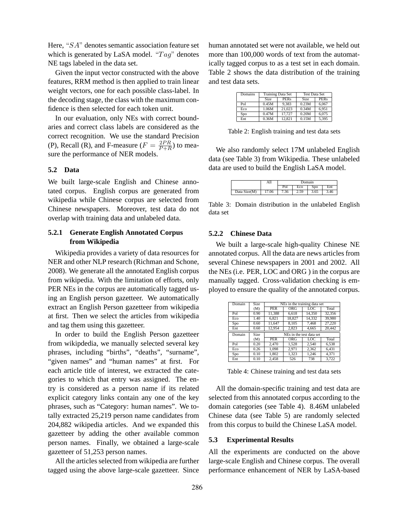Here, "SA" denotes semantic association feature set which is generated by LaSA model. " $Tag$ " denotes NE tags labeled in the data set.

Given the input vector constructed with the above features, RRM method is then applied to train linear weight vectors, one for each possible class-label. In the decoding stage, the class with the maximum confidence is then selected for each token unit.

In our evaluation, only NEs with correct boundaries and correct class labels are considered as the correct recognition. We use the standard Precision (P), Recall (R), and F-measure ( $F = \frac{2PR}{P+R}$  $\frac{2PR}{P+R}$ ) to measure the performance of NER models.

### **5.2 Data**

We built large-scale English and Chinese annotated corpus. English corpus are generated from wikipedia while Chinese corpus are selected from Chinese newspapers. Moreover, test data do not overlap with training data and unlabeled data.

### **5.2.1 Generate English Annotated Corpus from Wikipedia**

Wikipedia provides a variety of data resources for NER and other NLP research (Richman and Schone, 2008). We generate all the annotated English corpus from wikipedia. With the limitation of efforts, only PER NEs in the corpus are automatically tagged using an English person gazetteer. We automatically extract an English Person gazetteer from wikipedia at first. Then we select the articles from wikipedia and tag them using this gazetteer.

In order to build the English Person gazetteer from wikipdedia, we manually selected several key phrases, including "births", "deaths", "surname", "given names" and "human names" at first. For each article title of interest, we extracted the categories to which that entry was assigned. The entry is considered as a person name if its related explicit category links contain any one of the key phrases, such as "Category: human names". We totally extracted 25,219 person name candidates from 204,882 wikipedia articles. And we expanded this gazetteer by adding the other available common person names. Finally, we obtained a large-scale gazetteer of 51,253 person names.

All the articles selected from wikipedia are further tagged using the above large-scale gazetteer. Since human annotated set were not available, we held out more than 100,000 words of text from the automatically tagged corpus to as a test set in each domain. Table 2 shows the data distribution of the training and test data sets.

| Domains | <b>Training Data Set</b> |             | <b>Test Data Set</b> |             |
|---------|--------------------------|-------------|----------------------|-------------|
|         | <b>Size</b>              | <b>PERs</b> | <b>Size</b>          | <b>PERs</b> |
| Pol     | 0.45M                    | 9.383       | 0.23M                | 6.067       |
| Eco     | 1.06M                    | 21.023      | 0.34M                | 6.951       |
| Spo     | 0.47M                    | 17.727      | 0.20M                | 6.075       |
| Ent     | 0.36M                    | 12,821      | 0.15M                | 5.395       |

Table 2: English training and test data sets

We also randomly select 17M unlabeled English data (see Table 3) from Wikipedia. These unlabeled data are used to build the English LaSA model.

|              | Domain                          |             |            |     |
|--------------|---------------------------------|-------------|------------|-----|
|              | $\overline{\phantom{a}}$<br>roi | Eco         | <b>Spo</b> | Ent |
| Data Size(M) | $\sim$<br>−<br>'.30             | 50<br>ر ر.ر | 3.65       | .46 |

Table 3: Domain distribution in the unlabeled English data set

#### **5.2.2 Chinese Data**

We built a large-scale high-quality Chinese NE annotated corpus. All the data are news articles from several Chinese newspapers in 2001 and 2002. All the NEs (i.e. PER, LOC and ORG ) in the corpus are manually tagged. Cross-validation checking is employed to ensure the quality of the annotated corpus.

| Domain | Size        | NEs in the training data set |                          |        |        |  |  |
|--------|-------------|------------------------------|--------------------------|--------|--------|--|--|
|        | (M)         | <b>PER</b>                   | ORG                      | LOC.   | Total  |  |  |
| Pol    | 0.90        | 11.388                       | 6.618                    | 14.350 | 32.356 |  |  |
| Eco    | 1.40        | 6.821                        | 18.827                   | 14.332 | 39,980 |  |  |
| Spo    | 0.60        | 11.647                       | 8.105                    | 7.468  | 27,220 |  |  |
| Ent    | 0.60        | 12.954                       | 2.823                    | 4,665  | 20.442 |  |  |
|        |             |                              |                          |        |        |  |  |
| Domain | <b>Size</b> |                              | NEs in the test data set |        |        |  |  |
|        | (M)         | PER                          | ORG                      | LOC.   | Total  |  |  |
| Pol    | 0.20        | 2.470                        | 1.528                    | 2.540  | 6.538  |  |  |
| Eco    | 0.26        | 1.098                        | 2.971                    | 2.362  | 6.431  |  |  |
| Spo    | 0.10        | 1.802                        | 1.323                    | 1.246  | 4.371  |  |  |

Table 4: Chinese training and test data sets

All the domain-specific training and test data are selected from this annotated corpus according to the domain categories (see Table 4). 8.46M unlabeled Chinese data (see Table 5) are randomly selected from this corpus to build the Chinese LaSA model.

#### **5.3 Experimental Results**

All the experiments are conducted on the above large-scale English and Chinese corpus. The overall performance enhancement of NER by LaSA-based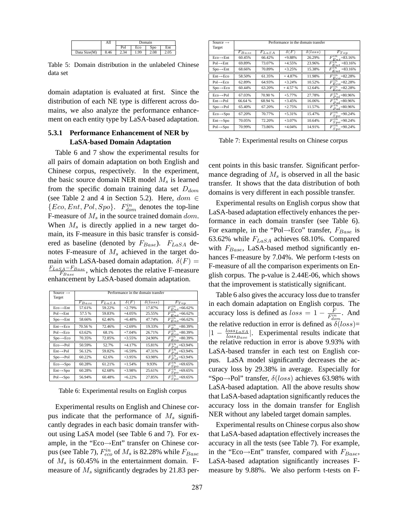|              | All  | Domain |     |      |     |
|--------------|------|--------|-----|------|-----|
|              |      | Pol    | Eco | Spo  | Ent |
| Data Size(M) | 8.46 | 2.34   | OQ  | 2.08 |     |

Table 5: Domain distribution in the unlabeled Chinese data set

domain adaptation is evaluated at first. Since the distribution of each NE type is different across domains, we also analyze the performance enhancement on each entity type by LaSA-based adaptation.

# **5.3.1 Performance Enhancement of NER by LaSA-based Domain Adaptation**

Table 6 and 7 show the experimental results for all pairs of domain adaptation on both English and Chinese corpus, respectively. In the experiment, the basic source domain NER model  $M_s$  is learned from the specific domain training data set  $D_{dom}$ (see Table 2 and 4 in Section 5.2). Here,  $dom \in$  ${Eco, Ent, Pol, Spo}.$   $F_{dom}^{in}$  denotes the top-line F-measure of  $M_s$  in the source trained domain dom. When  $M_s$  is directly applied in a new target domain, its F-measure in this basic transfer is considered as baseline (denoted by  $F_{Base}$ ).  $F_{LasA}$  denotes F-measure of  $M_s$  achieved in the target domain with LaSA-based domain adaptation.  $\delta(F)$  =  $\frac{F_{LasA}-F_{Base}}{F_{Base}}$ , which denotes the relative F-measure enhancement by LaSA-based domain adaptation.

| Source $\rightarrow$<br>Target | Performance in the domain transfer |            |                        |                 |                                      |  |
|--------------------------------|------------------------------------|------------|------------------------|-----------------|--------------------------------------|--|
|                                | $F_{Base}$                         | $F_{LaSA}$ | $\delta(\overline{F})$ | $\delta (loss)$ | $F_{Top}$                            |  |
| $Eco \rightarrow Ent$          | 57.61%                             | 59.22%     | $+2.79%$               | 17.87%          | $F_{Ent}^{in}$ =66.62%               |  |
| $Pol \rightarrow Ent$          | 57.5 %                             | 59.83%     | $+4.05%$               | 25.55%          | $F_{Ent}^{in}$ =66.62%               |  |
| $Spo \rightarrow Ent$          | 58.66%                             | 62.46%     | $+6.48%$               | 47.74%          | $F^{in}_{Ent}$<br>$= 66.62\%$        |  |
| $Ent \rightarrow Eco$          | 70.56 %                            | 72.46%     | $+2.69%$               | 19.33%          | $F_{Eco}^{in}$<br>$= 80.39\%$        |  |
| $Pol \rightarrow Eco$          | 63.62%                             | 68.1%      | $+7.04%$               | 26.71%          | $F_{Eco}^{in}$ =80.39%               |  |
| $Spo \rightarrow Eco$          | 70.35%                             | 72.85%     | $+3.55%$               | 24.90%          | $F_{Eco}^{in}$<br>$= 80.39%$         |  |
| $Eco \rightarrow Pol$          | 50.59%                             | 52.7%      | $+4.17%$               | 15.81%          | $\overline{F_{Pol}^{in}}$ =63.94%    |  |
| $Ent \rightarrow Pol$          | 56.12%                             | 59.82%     | $+6.59%$               | 47.31%          | $F_{Pol}^{in}$<br>$= 63.94%$         |  |
| $Spo \rightarrow Pol$          | 60.22%                             | 62.6%      | $+3.95%$               | 63.98%          | $F_{Pol}^{in}$ =63.94%               |  |
| $Eco \rightarrow Spo$          | 60.28%                             | 61.21%     | $+1.54%$               | 9.93%           | $F_{Spo}^{in}$<br>$=69.65%$          |  |
| $Ent \rightarrow Spo$          | 60.28%                             | 62.68%     | $+3.98%$               | 25.61%          | $F_{Spo}^{in}$<br>$=69.65%$          |  |
| $Pol \rightarrow Spo$          | 56.94%                             | 60.48%     | $+6.22%$               | 27.85%          | $\overline{F_{Sp}}_{Q}^{in}$ =69.65% |  |

Table 6: Experimental results on English corpus

Experimental results on English and Chinese corpus indicate that the performance of  $M_s$  significantly degrades in each basic domain transfer without using LaSA model (see Table 6 and 7). For example, in the "Eco→Ent" transfer on Chinese corpus (see Table 7),  $F_{eco}^{in}$  of  $M_s$  is 82.28% while  $F_{Base}$ of  $M_s$  is 60.45% in the entertainment domain. Fmeasure of  $M_s$  significantly degrades by 21.83 per-

| Source $\rightarrow$<br>Target | Performance in the domain transfer |            |             |                 |                                                      |  |
|--------------------------------|------------------------------------|------------|-------------|-----------------|------------------------------------------------------|--|
|                                | $F_{Base}$                         | $F_{LaSA}$ | $\delta(F)$ | $\delta (loss)$ | $F_{Top}$                                            |  |
| $E_{CO} \rightarrow E_{n}t$    | 60.45%                             | 66.42%     | $+9.88%$    | 26.29%          | $F_{Ent}^{in}$ =83.16%                               |  |
| $Pol \rightarrow Ent$          | 69.89%                             | 73.07%     | $+4.55%$    | 23.96%          | $F^{in}$<br>$= 83.16%$<br>En. t                      |  |
| $Spo \rightarrow Ent$          | 68.66%                             | 70.89%     | $+3.25%$    | 15.38%          | $F^{in}$<br>$= 83.16%$<br>$_{Ent}$                   |  |
| $Ent \rightarrow Eco$          | 58.50%                             | 61.35%     | $+4.87%$    | 11.98%          | $F^{\overline{i}\overline{n}}$<br>$E_{CO} = 82.28\%$ |  |
| $Pol \rightarrow Eco$          | 62.89%                             | 64.93%     | $+3.24%$    | 10.52%          | $F^{in}$<br>$= 82.28%$<br>Eco                        |  |
| $Spo \rightarrow Eco$          | 60.44%                             | 63.20%     | $+4.57%$    | 12.64%          | $F_{Eco}^{in}$<br>$= 82.28%$                         |  |
| $Eco \rightarrow Pol$          | 67.03%                             | 70.90 %    | $+5.77%$    | 27.78%          | $F^{i\overline{n}}$<br>$\frac{m}{P_{ol}}$ =80.96%    |  |
| $Ent \rightarrow Pol$          | 66.64 %                            | 68.94 %    | $+3.45%$    | 16.06%          | $F^{in}$<br>$\frac{1}{100}$ = 80.96%                 |  |
| $Spo \rightarrow Pol$          | 65.40%                             | 67.20%     | $+2.75%$    | 11.57%          | $F_{Pol}^{in}$ =80.96%                               |  |
| $Eco \rightarrow Spo$          | 67.20%                             | 70.77%     | $+5.31%$    | 15.47%          | $F^{in}$<br>$=90.24\%$<br>Spo                        |  |
| $Ent \rightarrow Spo$          | 70.05%                             | 72.20%     | $+3.07%$    | 10.64%          | $F^{in}_{Spo}$<br>$= 90.24%$                         |  |
| $Pol \rightarrow Spo$          | 70.99%                             | 73.86%     | $+4.04%$    | 14.91%          | $F_{Spo}^{in}$<br>$= 90.24%$                         |  |

Table 7: Experimental results on Chinese corpus

cent points in this basic transfer. Significant performance degrading of  $M_s$  is observed in all the basic transfer. It shows that the data distribution of both domains is very different in each possible transfer.

Experimental results on English corpus show that LaSA-based adaptation effectively enhances the performance in each domain transfer (see Table 6). For example, in the "Pol $\rightarrow$ Eco" transfer,  $F_{Base}$  is 63.62% while  $F_{LaSA}$  achieves 68.10%. Compared with  $F_{Base}$ , LaSA-based method significantly enhances F-measure by 7.04%. We perform t-tests on F-measure of all the comparison experiments on English corpus. The p-value is 2.44E-06, which shows that the improvement is statistically significant.

Table 6 also gives the accuracy loss due to transfer in each domain adaptation on English corpus. The accuracy loss is defined as  $loss = 1 - \frac{F}{E_{dc}^{tr}}$  $\frac{F}{F_{dom}^{in}}$ . And the relative reduction in error is defined as  $\delta (loss)$ =  $|1-\frac{loss_{LasA}}{loss_{Base}}$  $\frac{\log_{3_{LASSA}}}{\log_{3_{Base}}}|$ . Experimental results indicate that the relative reduction in error is above 9.93% with LaSA-based transfer in each test on English corpus. LaSA model significantly decreases the accuracy loss by 29.38% in average. Especially for "Spo $\rightarrow$ Pol" transfer,  $\delta (loss)$  achieves 63.98% with LaSA-based adaptation. All the above results show that LaSA-based adaptation significantly reduces the accuracy loss in the domain transfer for English NER without any labeled target domain samples.

Experimental results on Chinese corpus also show that LaSA-based adaptation effectively increases the accuracy in all the tests (see Table 7). For example, in the "Eco→Ent" transfer, compared with  $F_{Base}$ , LaSA-based adaptation significantly increases Fmeasure by 9.88%. We also perform t-tests on F-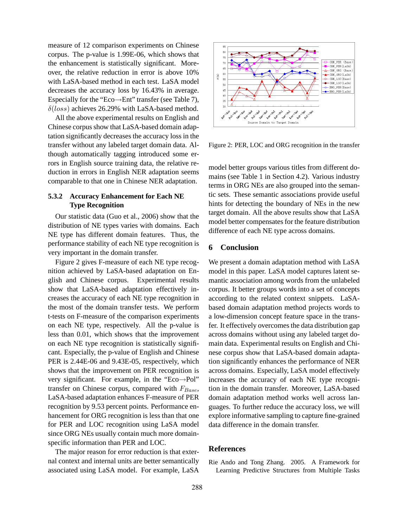measure of 12 comparison experiments on Chinese corpus. The p-value is 1.99E-06, which shows that the enhancement is statistically significant. Moreover, the relative reduction in error is above 10% with LaSA-based method in each test. LaSA model decreases the accuracy loss by 16.43% in average. Especially for the "Eco→Ent" transfer (see Table 7),  $\delta (loss)$  achieves 26.29% with LaSA-based method.

All the above experimental results on English and Chinese corpus show that LaSA-based domain adaptation significantly decreases the accuracy loss in the transfer without any labeled target domain data. Although automatically tagging introduced some errors in English source training data, the relative reduction in errors in English NER adaptation seems comparable to that one in Chinese NER adaptation.

# **5.3.2 Accuracy Enhancement for Each NE Type Recognition**

Our statistic data (Guo et al., 2006) show that the distribution of NE types varies with domains. Each NE type has different domain features. Thus, the performance stability of each NE type recognition is very important in the domain transfer.

Figure 2 gives F-measure of each NE type recognition achieved by LaSA-based adaptation on English and Chinese corpus. Experimental results show that LaSA-based adaptation effectively increases the accuracy of each NE type recognition in the most of the domain transfer tests. We perform t-tests on F-measure of the comparison experiments on each NE type, respectively. All the p-value is less than 0.01, which shows that the improvement on each NE type recognition is statistically significant. Especially, the p-value of English and Chinese PER is 2.44E-06 and 9.43E-05, respectively, which shows that the improvement on PER recognition is very significant. For example, in the "Eco→Pol" transfer on Chinese corpus, compared with  $F_{Base}$ , LaSA-based adaptation enhances F-measure of PER recognition by 9.53 percent points. Performance enhancement for ORG recognition is less than that one for PER and LOC recognition using LaSA model since ORG NEs usually contain much more domainspecific information than PER and LOC.

The major reason for error reduction is that external context and internal units are better semantically associated using LaSA model. For example, LaSA



Figure 2: PER, LOC and ORG recognition in the transfer

model better groups various titles from different domains (see Table 1 in Section 4.2). Various industry terms in ORG NEs are also grouped into the semantic sets. These semantic associations provide useful hints for detecting the boundary of NEs in the new target domain. All the above results show that LaSA model better compensates for the feature distribution difference of each NE type across domains.

# **6 Conclusion**

We present a domain adaptation method with LaSA model in this paper. LaSA model captures latent semantic association among words from the unlabeled corpus. It better groups words into a set of concepts according to the related context snippets. LaSAbased domain adaptation method projects words to a low-dimension concept feature space in the transfer. It effectively overcomes the data distribution gap across domains without using any labeled target domain data. Experimental results on English and Chinese corpus show that LaSA-based domain adaptation significantly enhances the performance of NER across domains. Especially, LaSA model effectively increases the accuracy of each NE type recognition in the domain transfer. Moreover, LaSA-based domain adaptation method works well across languages. To further reduce the accuracy loss, we will explore informative sampling to capture fine-grained data difference in the domain transfer.

# **References**

Rie Ando and Tong Zhang. 2005. A Framework for Learning Predictive Structures from Multiple Tasks